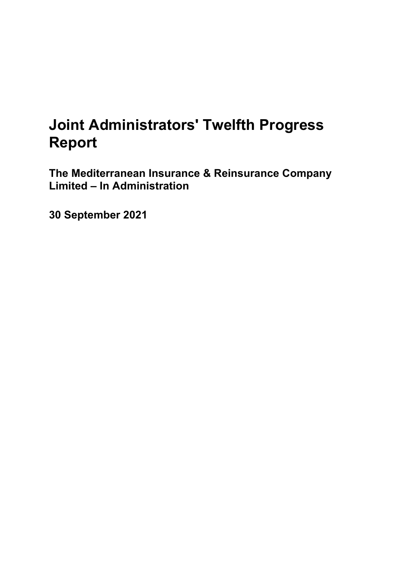# **Joint Administrators' Twelfth Progress Report**

**The Mediterranean Insurance & Reinsurance Company Limited – In Administration**

**30 September 2021**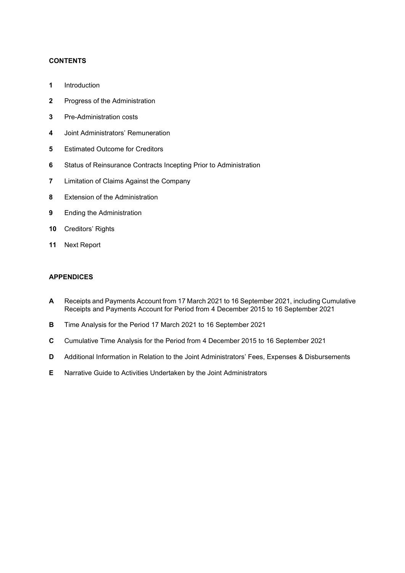# **CONTENTS**

- **1** Introduction
- **2** Progress of the Administration
- **3** Pre-Administration costs
- **4** Joint Administrators' Remuneration
- **5** Estimated Outcome for Creditors
- **6** Status of Reinsurance Contracts Incepting Prior to Administration
- **7** Limitation of Claims Against the Company
- **8** Extension of the Administration
- **9** Ending the Administration
- **10** Creditors' Rights
- **11** Next Report

# **APPENDICES**

- **A** Receipts and Payments Account from 17 March 2021 to 16 September 2021, including Cumulative Receipts and Payments Account for Period from 4 December 2015 to 16 September 2021
- **B** Time Analysis for the Period 17 March 2021 to 16 September 2021
- **C** Cumulative Time Analysis for the Period from 4 December 2015 to 16 September 2021
- **D** Additional Information in Relation to the Joint Administrators' Fees, Expenses & Disbursements
- **E** Narrative Guide to Activities Undertaken by the Joint Administrators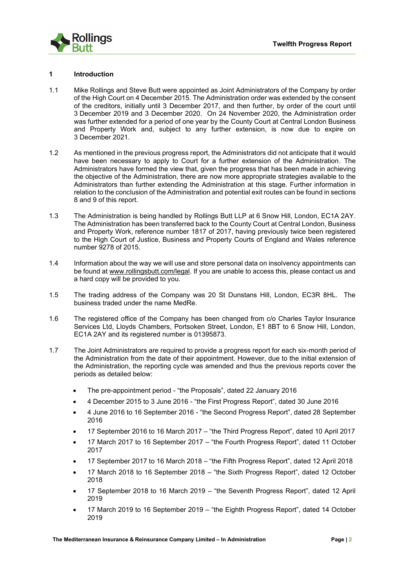

# **1 Introduction**

- 1.1 Mike Rollings and Steve Butt were appointed as Joint Administrators of the Company by order of the High Court on 4 December 2015. The Administration order was extended by the consent of the creditors, initially until 3 December 2017, and then further, by order of the court until 3 December 2019 and 3 December 2020. On 24 November 2020, the Administration order was further extended for a period of one year by the County Court at Central London Business and Property Work and, subject to any further extension, is now due to expire on 3 December 2021.
- 1.2 As mentioned in the previous progress report, the Administrators did not anticipate that it would have been necessary to apply to Court for a further extension of the Administration. The Administrators have formed the view that, given the progress that has been made in achieving the objective of the Administration, there are now more appropriate strategies available to the Administrators than further extending the Administration at this stage. Further information in relation to the conclusion of the Administration and potential exit routes can be found in sections 8 and 9 of this report.
- 1.3 The Administration is being handled by Rollings Butt LLP at 6 Snow Hill, London, EC1A 2AY. The Administration has been transferred back to the County Court at Central London, Business and Property Work, reference number 1817 of 2017, having previously twice been registered to the High Court of Justice, Business and Property Courts of England and Wales reference number 9278 of 2015.
- 1.4 Information about the way we will use and store personal data on insolvency appointments can be found at www.rollingsbutt.com/legal. If you are unable to access this, please contact us and a hard copy will be provided to you.
- 1.5 The trading address of the Company was 20 St Dunstans Hill, London, EC3R 8HL. The business traded under the name MedRe.
- 1.6 The registered office of the Company has been changed from c/o Charles Taylor Insurance Services Ltd, Lloyds Chambers, Portsoken Street, London, E1 8BT to 6 Snow Hill, London, EC1A 2AY and its registered number is 01395873.
- 1.7 The Joint Administrators are required to provide a progress report for each six-month period of the Administration from the date of their appointment. However, due to the initial extension of the Administration, the reporting cycle was amended and thus the previous reports cover the periods as detailed below:
	- The pre-appointment period "the Proposals", dated 22 January 2016
	- 4 December 2015 to 3 June 2016 "the First Progress Report", dated 30 June 2016
	- 4 June 2016 to 16 September 2016 "the Second Progress Report", dated 28 September 2016
	- 17 September 2016 to 16 March 2017 "the Third Progress Report", dated 10 April 2017
	- 17 March 2017 to 16 September 2017 "the Fourth Progress Report", dated 11 October 2017
	- 17 September 2017 to 16 March 2018 "the Fifth Progress Report", dated 12 April 2018
	- 17 March 2018 to 16 September 2018 "the Sixth Progress Report", dated 12 October 2018
	- 17 September 2018 to 16 March 2019 "the Seventh Progress Report", dated 12 April 2019
	- 17 March 2019 to 16 September 2019 "the Eighth Progress Report", dated 14 October 2019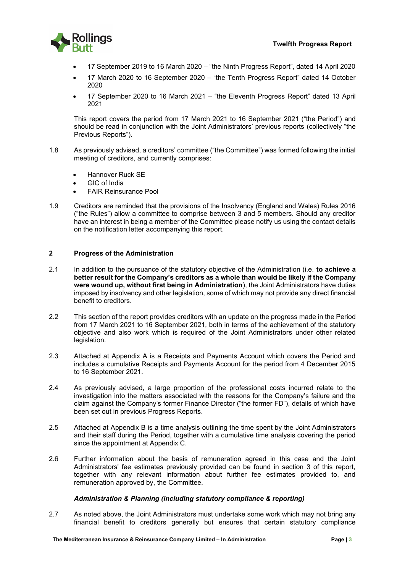

- 17 September 2019 to 16 March 2020 "the Ninth Progress Report", dated 14 April 2020
- 17 March 2020 to 16 September 2020 "the Tenth Progress Report" dated 14 October 2020
- 17 September 2020 to 16 March 2021 "the Eleventh Progress Report" dated 13 April 2021

This report covers the period from 17 March 2021 to 16 September 2021 ("the Period") and should be read in conjunction with the Joint Administrators' previous reports (collectively "the Previous Reports").

- 1.8 As previously advised, a creditors' committee ("the Committee") was formed following the initial meeting of creditors, and currently comprises:
	- Hannover Ruck SE
	- GIC of India
	- FAIR Reinsurance Pool
- 1.9 Creditors are reminded that the provisions of the Insolvency (England and Wales) Rules 2016 ("the Rules") allow a committee to comprise between 3 and 5 members. Should any creditor have an interest in being a member of the Committee please notify us using the contact details on the notification letter accompanying this report.

# **2 Progress of the Administration**

- 2.1 In addition to the pursuance of the statutory objective of the Administration (i.e. **to achieve a better result for the Company's creditors as a whole than would be likely if the Company were wound up, without first being in Administration**), the Joint Administrators have duties imposed by insolvency and other legislation, some of which may not provide any direct financial benefit to creditors.
- 2.2 This section of the report provides creditors with an update on the progress made in the Period from 17 March 2021 to 16 September 2021, both in terms of the achievement of the statutory objective and also work which is required of the Joint Administrators under other related legislation.
- 2.3 Attached at Appendix A is a Receipts and Payments Account which covers the Period and includes a cumulative Receipts and Payments Account for the period from 4 December 2015 to 16 September 2021.
- 2.4 As previously advised, a large proportion of the professional costs incurred relate to the investigation into the matters associated with the reasons for the Company's failure and the claim against the Company's former Finance Director ("the former FD"), details of which have been set out in previous Progress Reports.
- 2.5 Attached at Appendix B is a time analysis outlining the time spent by the Joint Administrators and their staff during the Period, together with a cumulative time analysis covering the period since the appointment at Appendix C.
- 2.6 Further information about the basis of remuneration agreed in this case and the Joint Administrators' fee estimates previously provided can be found in section 3 of this report, together with any relevant information about further fee estimates provided to, and remuneration approved by, the Committee.

# *Administration & Planning (including statutory compliance & reporting)*

2.7 As noted above, the Joint Administrators must undertake some work which may not bring any financial benefit to creditors generally but ensures that certain statutory compliance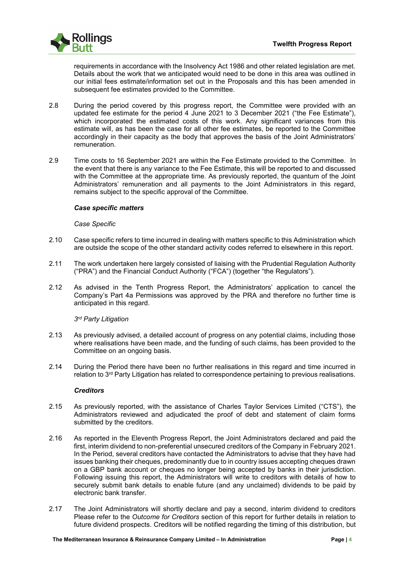

requirements in accordance with the Insolvency Act 1986 and other related legislation are met. Details about the work that we anticipated would need to be done in this area was outlined in our initial fees estimate/information set out in the Proposals and this has been amended in subsequent fee estimates provided to the Committee.

- 2.8 During the period covered by this progress report, the Committee were provided with an updated fee estimate for the period 4 June 2021 to 3 December 2021 ("the Fee Estimate"), which incorporated the estimated costs of this work. Any significant variances from this estimate will, as has been the case for all other fee estimates, be reported to the Committee accordingly in their capacity as the body that approves the basis of the Joint Administrators' remuneration.
- 2.9 Time costs to 16 September 2021 are within the Fee Estimate provided to the Committee. In the event that there is any variance to the Fee Estimate, this will be reported to and discussed with the Committee at the appropriate time. As previously reported, the quantum of the Joint Administrators' remuneration and all payments to the Joint Administrators in this regard, remains subject to the specific approval of the Committee.

# *Case specific matters*

# *Case Specific*

- 2.10 Case specific refers to time incurred in dealing with matters specific to this Administration which are outside the scope of the other standard activity codes referred to elsewhere in this report.
- 2.11 The work undertaken here largely consisted of liaising with the Prudential Regulation Authority ("PRA") and the Financial Conduct Authority ("FCA") (together "the Regulators").
- 2.12 As advised in the Tenth Progress Report, the Administrators' application to cancel the Company's Part 4a Permissions was approved by the PRA and therefore no further time is anticipated in this regard.

# *3rd Party Litigation*

- 2.13 As previously advised, a detailed account of progress on any potential claims, including those where realisations have been made, and the funding of such claims, has been provided to the Committee on an ongoing basis.
- 2.14 During the Period there have been no further realisations in this regard and time incurred in relation to 3rd Party Litigation has related to correspondence pertaining to previous realisations.

# *Creditors*

- 2.15 As previously reported, with the assistance of Charles Taylor Services Limited ("CTS"), the Administrators reviewed and adjudicated the proof of debt and statement of claim forms submitted by the creditors.
- 2.16 As reported in the Eleventh Progress Report, the Joint Administrators declared and paid the first, interim dividend to non-preferential unsecured creditors of the Company in February 2021. In the Period, several creditors have contacted the Administrators to advise that they have had issues banking their cheques, predominantly due to in country issues accepting cheques drawn on a GBP bank account or cheques no longer being accepted by banks in their jurisdiction. Following issuing this report, the Administrators will write to creditors with details of how to securely submit bank details to enable future (and any unclaimed) dividends to be paid by electronic bank transfer.
- 2.17 The Joint Administrators will shortly declare and pay a second, interim dividend to creditors Please refer to the *Outcome for Creditors* section of this report for further details in relation to future dividend prospects. Creditors will be notified regarding the timing of this distribution, but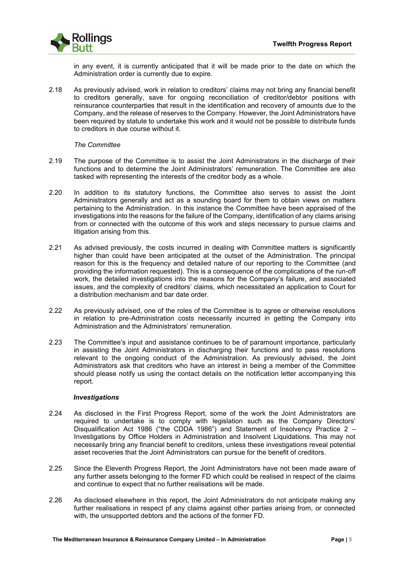

in any event, it is currently anticipated that it will be made prior to the date on which the Administration order is currently due to expire.

2.18 As previously advised, work in relation to creditors' claims may not bring any financial benefit to creditors generally, save for ongoing reconciliation of creditor/debtor positions with reinsurance counterparties that result in the identification and recovery of amounts due to the Company, and the release of reserves to the Company. However, the Joint Administrators have been required by statute to undertake this work and it would not be possible to distribute funds to creditors in due course without it.

# *The Committee*

- 2.19 The purpose of the Committee is to assist the Joint Administrators in the discharge of their functions and to determine the Joint Administrators' remuneration. The Committee are also tasked with representing the interests of the creditor body as a whole.
- 2.20 In addition to its statutory functions, the Committee also serves to assist the Joint Administrators generally and act as a sounding board for them to obtain views on matters pertaining to the Administration. In this instance the Committee have been appraised of the investigations into the reasons for the failure of the Company, identification of any claims arising from or connected with the outcome of this work and steps necessary to pursue claims and litigation arising from this.
- 2.21 As advised previously, the costs incurred in dealing with Committee matters is significantly higher than could have been anticipated at the outset of the Administration. The principal reason for this is the frequency and detailed nature of our reporting to the Committee (and providing the information requested). This is a consequence of the complications of the run-off work, the detailed investigations into the reasons for the Company's failure, and associated issues, and the complexity of creditors' claims, which necessitated an application to Court for a distribution mechanism and bar date order.
- 2.22 As previously advised, one of the roles of the Committee is to agree or otherwise resolutions in relation to pre-Administration costs necessarily incurred in getting the Company into Administration and the Administrators' remuneration.
- 2.23 The Committee's input and assistance continues to be of paramount importance, particularly in assisting the Joint Administrators in discharging their functions and to pass resolutions relevant to the ongoing conduct of the Administration. As previously advised, the Joint Administrators ask that creditors who have an interest in being a member of the Committee should please notify us using the contact details on the notification letter accompanying this report.

# *Investigations*

- 2.24 As disclosed in the First Progress Report, some of the work the Joint Administrators are required to undertake is to comply with legislation such as the Company Directors' Disqualification Act 1986 ("the CDDA 1986") and Statement of Insolvency Practice 2 – Investigations by Office Holders in Administration and Insolvent Liquidations. This may not necessarily bring any financial benefit to creditors, unless these investigations reveal potential asset recoveries that the Joint Administrators can pursue for the benefit of creditors.
- 2.25 Since the Eleventh Progress Report, the Joint Administrators have not been made aware of any further assets belonging to the former FD which could be realised in respect of the claims and continue to expect that no further realisations will be made.
- 2.26 As disclosed elsewhere in this report, the Joint Administrators do not anticipate making any further realisations in respect pf any claims against other parties arising from, or connected with, the unsupported debtors and the actions of the former FD.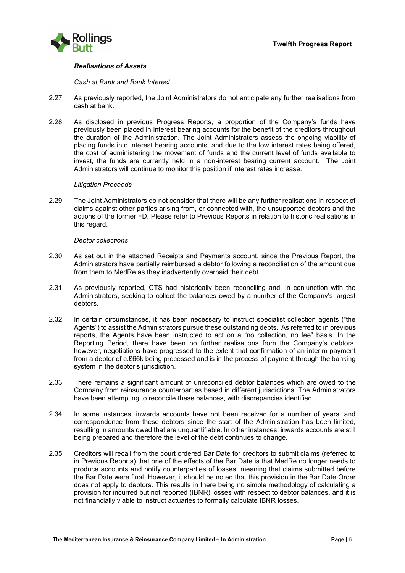

# *Realisations of Assets*

*Cash at Bank and Bank Interest*

- 2.27 As previously reported, the Joint Administrators do not anticipate any further realisations from cash at bank.
- 2.28 As disclosed in previous Progress Reports, a proportion of the Company's funds have previously been placed in interest bearing accounts for the benefit of the creditors throughout the duration of the Administration. The Joint Administrators assess the ongoing viability of placing funds into interest bearing accounts, and due to the low interest rates being offered, the cost of administering the movement of funds and the current level of funds available to invest, the funds are currently held in a non-interest bearing current account. The Joint Administrators will continue to monitor this position if interest rates increase.

#### *Litigation Proceeds*

2.29 The Joint Administrators do not consider that there will be any further realisations in respect of claims against other parties arising from, or connected with, the unsupported debtors and the actions of the former FD. Please refer to Previous Reports in relation to historic realisations in this regard.

#### *Debtor collections*

- 2.30 As set out in the attached Receipts and Payments account, since the Previous Report, the Administrators have partially reimbursed a debtor following a reconciliation of the amount due from them to MedRe as they inadvertently overpaid their debt.
- 2.31 As previously reported, CTS had historically been reconciling and, in conjunction with the Administrators, seeking to collect the balances owed by a number of the Company's largest debtors.
- 2.32 In certain circumstances, it has been necessary to instruct specialist collection agents ("the Agents") to assist the Administrators pursue these outstanding debts. As referred to in previous reports, the Agents have been instructed to act on a "no collection, no fee" basis. In the Reporting Period, there have been no further realisations from the Company's debtors, however, negotiations have progressed to the extent that confirmation of an interim payment from a debtor of c.£66k being processed and is in the process of payment through the banking system in the debtor's jurisdiction.
- 2.33 There remains a significant amount of unreconciled debtor balances which are owed to the Company from reinsurance counterparties based in different jurisdictions. The Administrators have been attempting to reconcile these balances, with discrepancies identified.
- 2.34 In some instances, inwards accounts have not been received for a number of years, and correspondence from these debtors since the start of the Administration has been limited, resulting in amounts owed that are unquantifiable. In other instances, inwards accounts are still being prepared and therefore the level of the debt continues to change.
- 2.35 Creditors will recall from the court ordered Bar Date for creditors to submit claims (referred to in Previous Reports) that one of the effects of the Bar Date is that MedRe no longer needs to produce accounts and notify counterparties of losses, meaning that claims submitted before the Bar Date were final. However, it should be noted that this provision in the Bar Date Order does not apply to debtors. This results in there being no simple methodology of calculating a provision for incurred but not reported (IBNR) losses with respect to debtor balances, and it is not financially viable to instruct actuaries to formally calculate IBNR losses.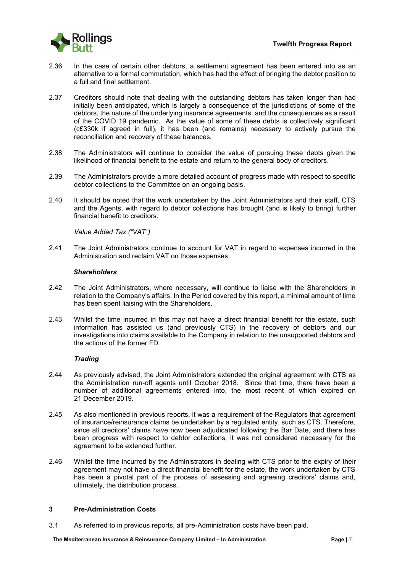

- 2.36 In the case of certain other debtors, a settlement agreement has been entered into as an alternative to a formal commutation, which has had the effect of bringing the debtor position to a full and final settlement.
- 2.37 Creditors should note that dealing with the outstanding debtors has taken longer than had initially been anticipated, which is largely a consequence of the jurisdictions of some of the debtors, the nature of the underlying insurance agreements, and the consequences as a result of the COVID 19 pandemic. As the value of some of these debts is collectively significant (c£330k if agreed in full), it has been (and remains) necessary to actively pursue the reconciliation and recovery of these balances.
- 2.38 The Administrators will continue to consider the value of pursuing these debts given the likelihood of financial benefit to the estate and return to the general body of creditors.
- 2.39 The Administrators provide a more detailed account of progress made with respect to specific debtor collections to the Committee on an ongoing basis.
- 2.40 It should be noted that the work undertaken by the Joint Administrators and their staff, CTS and the Agents, with regard to debtor collections has brought (and is likely to bring) further financial benefit to creditors.

*Value Added Tax ("VAT")*

2.41 The Joint Administrators continue to account for VAT in regard to expenses incurred in the Administration and reclaim VAT on those expenses.

# *Shareholders*

- 2.42 The Joint Administrators, where necessary, will continue to liaise with the Shareholders in relation to the Company's affairs. In the Period covered by this report, a minimal amount of time has been spent liaising with the Shareholders.
- 2.43 Whilst the time incurred in this may not have a direct financial benefit for the estate, such information has assisted us (and previously CTS) in the recovery of debtors and our investigations into claims available to the Company in relation to the unsupported debtors and the actions of the former FD.

# *Trading*

- 2.44 As previously advised, the Joint Administrators extended the original agreement with CTS as the Administration run-off agents until October 2018. Since that time, there have been a number of additional agreements entered into, the most recent of which expired on 21 December 2019.
- 2.45 As also mentioned in previous reports, it was a requirement of the Regulators that agreement of insurance/reinsurance claims be undertaken by a regulated entity, such as CTS. Therefore, since all creditors' claims have now been adjudicated following the Bar Date, and there has been progress with respect to debtor collections, it was not considered necessary for the agreement to be extended further.
- 2.46 Whilst the time incurred by the Administrators in dealing with CTS prior to the expiry of their agreement may not have a direct financial benefit for the estate, the work undertaken by CTS has been a pivotal part of the process of assessing and agreeing creditors' claims and, ultimately, the distribution process.

# **3 Pre-Administration Costs**

3.1 As referred to in previous reports, all pre-Administration costs have been paid.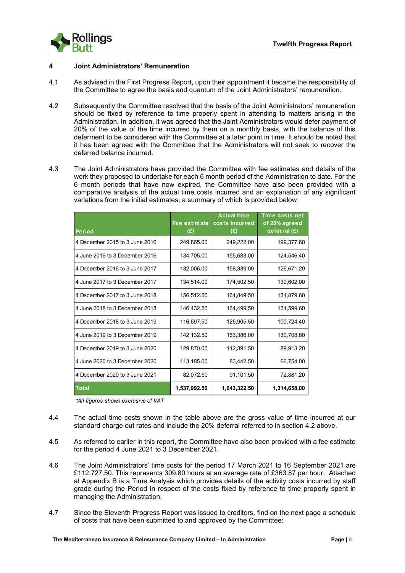

# **4 Joint Administrators' Remuneration**

- 4.1 As advised in the First Progress Report, upon their appointment it became the responsibility of the Committee to agree the basis and quantum of the Joint Administrators' remuneration.
- 4.2 Subsequently the Committee resolved that the basis of the Joint Administrators' remuneration should be fixed by reference to time properly spent in attending to matters arising in the Administration. In addition, it was agreed that the Joint Administrators would defer payment of 20% of the value of the time incurred by them on a monthly basis, with the balance of this deferment to be considered with the Committee at a later point in time. It should be noted that it has been agreed with the Committee that the Administrators will not seek to recover the deferred balance incurred.
- 4.3 The Joint Administrators have provided the Committee with fee estimates and details of the work they proposed to undertake for each 6 month period of the Administration to date. For the 6 month periods that have now expired, the Committee have also been provided with a comparative analysis of the actual time costs incurred and an explanation of any significant variations from the initial estimates, a summary of which is provided below:

| <b>Period</b>                  | Fee estimate<br>(E) | <b>Actual time</b><br>costs incurred<br>(E) | Time costs net<br>of 20% agreed<br>deferral $(E)$ |
|--------------------------------|---------------------|---------------------------------------------|---------------------------------------------------|
| 4 December 2015 to 3 June 2016 | 249,865.00          | 249,222.00                                  | 199,377.60                                        |
| 4 June 2016 to 3 December 2016 | 134,705.00          | 155,683.00                                  | 124,546.40                                        |
| 4 December 2016 to 3 June 2017 | 132,006.00          | 158,339.00                                  | 126,671.20                                        |
| 4 June 2017 to 3 December 2017 | 134,514.00          | 174,502.50                                  | 139,602.00                                        |
| 4 December 2017 to 3 June 2018 | 156,512.50          | 164,849.50                                  | 131,879.60                                        |
| 4 June 2018 to 3 December 2018 | 146,432.50          | 164,499.50                                  | 131,599.60                                        |
| 4 December 2018 to 3 June 2019 | 116,697.50          | 125,905.50                                  | 100,724.40                                        |
| 4 June 2019 to 3 December 2019 | 142,132.50          | 163,386.00                                  | 130,708.80                                        |
| 4 December 2019 to 3 June 2020 | 129,870.00          | 112,391.50                                  | 89,913.20                                         |
| 4 June 2020 to 3 December 2020 | 113,185.00          | 83.442.50                                   | 66,754.00                                         |
| 4 December 2020 to 3 June 2021 | 82,072.50           | 91,101.50                                   | 72,881.20                                         |
| <b>Total</b>                   | 1,537,992.50        | 1,643,322.50                                | 1,314,658.00                                      |

*\*All figures shown exclusive of VAT*

- 4.4 The actual time costs shown in the table above are the gross value of time incurred at our standard charge out rates and include the 20% deferral referred to in section 4.2 above.
- 4.5 As referred to earlier in this report, the Committee have also been provided with a fee estimate for the period 4 June 2021 to 3 December 2021.
- 4.6 The Joint Administrators' time costs for the period 17 March 2021 to 16 September 2021 are £112,727.50. This represents 309.80 hours at an average rate of £363.87 per hour. Attached at Appendix B is a Time Analysis which provides details of the activity costs incurred by staff grade during the Period in respect of the costs fixed by reference to time properly spent in managing the Administration.
- 4.7 Since the Eleventh Progress Report was issued to creditors, find on the next page a schedule of costs that have been submitted to and approved by the Committee: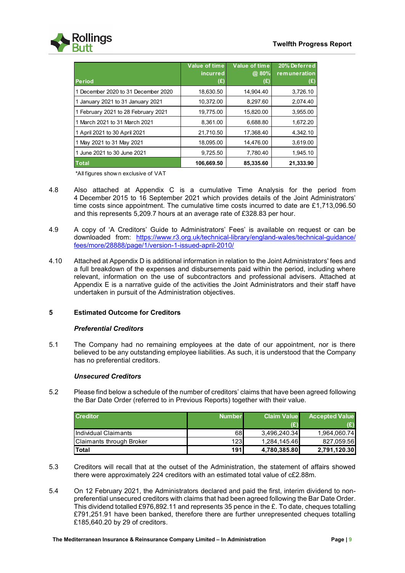

| <b>Period</b>                       | <b>Value of time</b><br>incurred<br>(£) | Value of time<br>@ 80%<br>(£) | 20% Deferred<br>remuneration<br>(£) |
|-------------------------------------|-----------------------------------------|-------------------------------|-------------------------------------|
| 1 December 2020 to 31 December 2020 | 18,630.50                               | 14,904.40                     | 3,726.10                            |
| 1 January 2021 to 31 January 2021   | 10,372.00                               | 8,297.60                      | 2,074.40                            |
| 1 February 2021 to 28 February 2021 | 19,775.00                               | 15,820.00                     | 3,955.00                            |
| 1 March 2021 to 31 March 2021       | 8,361.00                                | 6,688.80                      | 1,672.20                            |
| 1 April 2021 to 30 April 2021       | 21,710.50                               | 17,368.40                     | 4,342.10                            |
| 1 May 2021 to 31 May 2021           | 18,095.00                               | 14,476.00                     | 3,619.00                            |
| 1 June 2021 to 30 June 2021         | 9,725.50                                | 7,780.40                      | 1,945.10                            |
| <b>Total</b>                        | 106,669.50                              | 85,335.60                     | 21,333.90                           |

\*All figures show n exclusive of VAT

- 4.8 Also attached at Appendix C is a cumulative Time Analysis for the period from 4 December 2015 to 16 September 2021 which provides details of the Joint Administrators' time costs since appointment. The cumulative time costs incurred to date are £1,713,096.50 and this represents 5,209.7 hours at an average rate of £328.83 per hour.
- 4.9 A copy of 'A Creditors' Guide to Administrators' Fees' is available on request or can be downloaded from: [https://www.r3.org.uk/technical-library/england-wales/technical-guidance/](https://www.r3.org.uk/technical-library/england-wales/technical-guidance/%20fees/more/28888/page/1/version-1-issued-april-2010/)  [fees/more/28888/page/1/version-1-issued-april-2010/](https://www.r3.org.uk/technical-library/england-wales/technical-guidance/%20fees/more/28888/page/1/version-1-issued-april-2010/)
- 4.10 Attached at Appendix D is additional information in relation to the Joint Administrators' fees and a full breakdown of the expenses and disbursements paid within the period, including where relevant, information on the use of subcontractors and professional advisers. Attached at Appendix E is a narrative guide of the activities the Joint Administrators and their staff have undertaken in pursuit of the Administration objectives.

# **5 Estimated Outcome for Creditors**

# *Preferential Creditors*

5.1 The Company had no remaining employees at the date of our appointment, nor is there believed to be any outstanding employee liabilities. As such, it is understood that the Company has no preferential creditors.

# *Unsecured Creditors*

5.2 Please find below a schedule of the number of creditors' claims that have been agreed following the Bar Date Order (referred to in Previous Reports) together with their value.

| <b>Creditor</b>          | <b>Number</b> | <b>Claim Value</b> | <b>Accepted Value</b> |
|--------------------------|---------------|--------------------|-----------------------|
|                          |               | (£)                |                       |
| Individual Claimants     | 68I           | 3,496,240.34       | 1.964.060.74          |
| Claimants through Broker | 123           | 1.284.145.46       | 827.059.56            |
| Total                    | 191 <b>I</b>  | 4,780,385.80       | 2,791,120.30          |

- 5.3 Creditors will recall that at the outset of the Administration, the statement of affairs showed there were approximately 224 creditors with an estimated total value of c£2.88m.
- 5.4 On 12 February 2021, the Administrators declared and paid the first, interim dividend to nonpreferential unsecured creditors with claims that had been agreed following the Bar Date Order. This dividend totalled £976,892.11 and represents 35 pence in the  $E$ . To date, cheques totalling £791,251.91 have been banked, therefore there are further unrepresented cheques totalling £185,640.20 by 29 of creditors.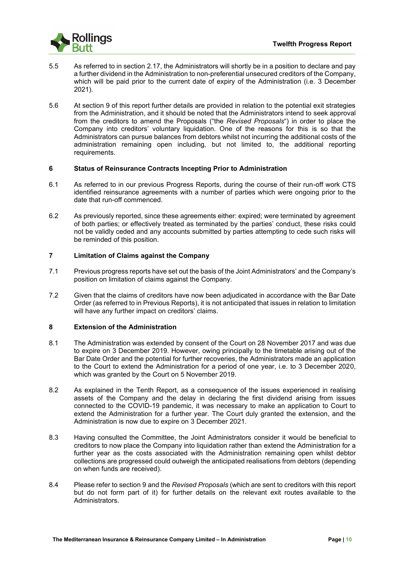

- 5.5 As referred to in section 2.17, the Administrators will shortly be in a position to declare and pay a further dividend in the Administration to non-preferential unsecured creditors of the Company, which will be paid prior to the current date of expiry of the Administration (i.e. 3 December 2021).
- 5.6 At section 9 of this report further details are provided in relation to the potential exit strategies from the Administration, and it should be noted that the Administrators intend to seek approval from the creditors to amend the Proposals ("the *Revised Proposals*") in order to place the Company into creditors' voluntary liquidation. One of the reasons for this is so that the Administrators can pursue balances from debtors whilst not incurring the additional costs of the administration remaining open including, but not limited to, the additional reporting requirements.

# **6 Status of Reinsurance Contracts Incepting Prior to Administration**

- 6.1 As referred to in our previous Progress Reports, during the course of their run-off work CTS identified reinsurance agreements with a number of parties which were ongoing prior to the date that run-off commenced.
- 6.2 As previously reported, since these agreements either: expired; were terminated by agreement of both parties; or effectively treated as terminated by the parties' conduct, these risks could not be validly ceded and any accounts submitted by parties attempting to cede such risks will be reminded of this position.

# **7 Limitation of Claims against the Company**

- 7.1 Previous progress reports have set out the basis of the Joint Administrators' and the Company's position on limitation of claims against the Company.
- 7.2 Given that the claims of creditors have now been adjudicated in accordance with the Bar Date Order (as referred to in Previous Reports), it is not anticipated that issues in relation to limitation will have any further impact on creditors' claims.

# **8 Extension of the Administration**

- 8.1 The Administration was extended by consent of the Court on 28 November 2017 and was due to expire on 3 December 2019. However, owing principally to the timetable arising out of the Bar Date Order and the potential for further recoveries, the Administrators made an application to the Court to extend the Administration for a period of one year, i.e. to 3 December 2020, which was granted by the Court on 5 November 2019.
- 8.2 As explained in the Tenth Report, as a consequence of the issues experienced in realising assets of the Company and the delay in declaring the first dividend arising from issues connected to the COVID-19 pandemic, it was necessary to make an application to Court to extend the Administration for a further year. The Court duly granted the extension, and the Administration is now due to expire on 3 December 2021.
- 8.3 Having consulted the Committee, the Joint Administrators consider it would be beneficial to creditors to now place the Company into liquidation rather than extend the Administration for a further year as the costs associated with the Administration remaining open whilst debtor collections are progressed could outweigh the anticipated realisations from debtors (depending on when funds are received).
- 8.4 Please refer to section 9 and the *Revised Proposals* (which are sent to creditors with this report but do not form part of it) for further details on the relevant exit routes available to the Administrators.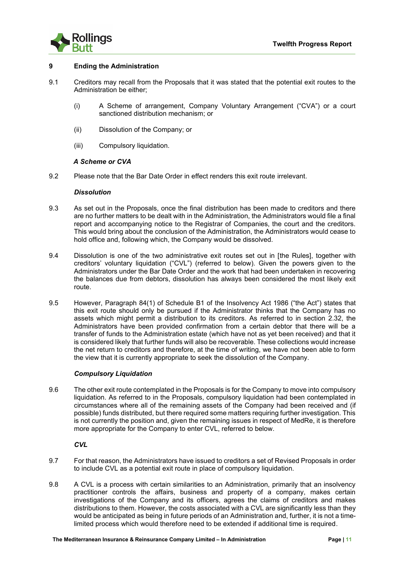

# **9 Ending the Administration**

- 9.1 Creditors may recall from the Proposals that it was stated that the potential exit routes to the Administration be either;
	- (i) A Scheme of arrangement, Company Voluntary Arrangement ("CVA") or a court sanctioned distribution mechanism; or
	- (ii) Dissolution of the Company; or
	- (iii) Compulsory liquidation.

# *A Scheme or CVA*

9.2 Please note that the Bar Date Order in effect renders this exit route irrelevant.

# *Dissolution*

- 9.3 As set out in the Proposals, once the final distribution has been made to creditors and there are no further matters to be dealt with in the Administration, the Administrators would file a final report and accompanying notice to the Registrar of Companies, the court and the creditors. This would bring about the conclusion of the Administration, the Administrators would cease to hold office and, following which, the Company would be dissolved.
- 9.4 Dissolution is one of the two administrative exit routes set out in [the Rules], together with creditors' voluntary liquidation ("CVL") (referred to below). Given the powers given to the Administrators under the Bar Date Order and the work that had been undertaken in recovering the balances due from debtors, dissolution has always been considered the most likely exit route.
- 9.5 However, Paragraph 84(1) of Schedule B1 of the Insolvency Act 1986 ("the Act") states that this exit route should only be pursued if the Administrator thinks that the Company has no assets which might permit a distribution to its creditors. As referred to in section 2.32, the Administrators have been provided confirmation from a certain debtor that there will be a transfer of funds to the Administration estate (which have not as yet been received) and that it is considered likely that further funds will also be recoverable. These collections would increase the net return to creditors and therefore, at the time of writing, we have not been able to form the view that it is currently appropriate to seek the dissolution of the Company.

# *Compulsory Liquidation*

9.6 The other exit route contemplated in the Proposals is for the Company to move into compulsory liquidation. As referred to in the Proposals, compulsory liquidation had been contemplated in circumstances where all of the remaining assets of the Company had been received and (if possible) funds distributed, but there required some matters requiring further investigation. This is not currently the position and, given the remaining issues in respect of MedRe, it is therefore more appropriate for the Company to enter CVL, referred to below.

*CVL*

- 9.7 For that reason, the Administrators have issued to creditors a set of Revised Proposals in order to include CVL as a potential exit route in place of compulsory liquidation.
- 9.8 A CVL is a process with certain similarities to an Administration, primarily that an insolvency practitioner controls the affairs, business and property of a company, makes certain investigations of the Company and its officers, agrees the claims of creditors and makes distributions to them. However, the costs associated with a CVL are significantly less than they would be anticipated as being in future periods of an Administration and, further, it is not a timelimited process which would therefore need to be extended if additional time is required.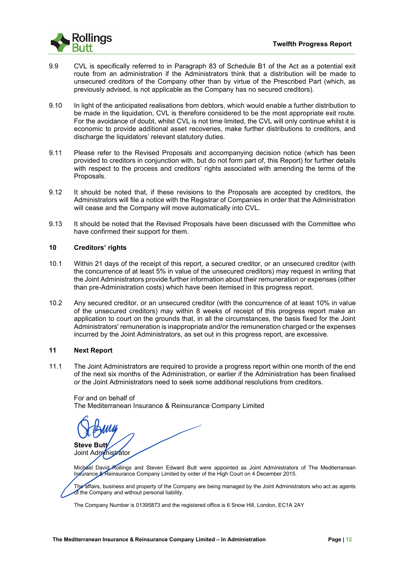- 9.9 CVL is specifically referred to in Paragraph 83 of Schedule B1 of the Act as a potential exit route from an administration if the Administrators think that a distribution will be made to unsecured creditors of the Company other than by virtue of the Prescribed Part (which, as previously advised, is not applicable as the Company has no secured creditors).
- 9.10 In light of the anticipated realisations from debtors, which would enable a further distribution to be made in the liquidation, CVL is therefore considered to be the most appropriate exit route. For the avoidance of doubt, whilst CVL is not time limited, the CVL will only continue whilst it is economic to provide additional asset recoveries, make further distributions to creditors, and discharge the liquidators' relevant statutory duties.
- 9.11 Please refer to the Revised Proposals and accompanying decision notice (which has been provided to creditors in conjunction with, but do not form part of, this Report) for further details with respect to the process and creditors' rights associated with amending the terms of the Proposals.
- 9.12 It should be noted that, if these revisions to the Proposals are accepted by creditors, the Administrators will file a notice with the Registrar of Companies in order that the Administration will cease and the Company will move automatically into CVL.
- 9.13 It should be noted that the Revised Proposals have been discussed with the Committee who have confirmed their support for them.

# **10 Creditors' rights**

- 10.1 Within 21 days of the receipt of this report, a secured creditor, or an unsecured creditor (with the concurrence of at least 5% in value of the unsecured creditors) may request in writing that the Joint Administrators provide further information about their remuneration or expenses (other than pre-Administration costs) which have been itemised in this progress report.
- 10.2 Any secured creditor, or an unsecured creditor (with the concurrence of at least 10% in value of the unsecured creditors) may within 8 weeks of receipt of this progress report make an application to court on the grounds that, in all the circumstances, the basis fixed for the Joint Administrators' remuneration is inappropriate and/or the remuneration charged or the expenses incurred by the Joint Administrators, as set out in this progress report, are excessive.

# **11 Next Report**

11.1 The Joint Administrators are required to provide a progress report within one month of the end of the next six months of the Administration, or earlier if the Administration has been finalised or the Joint Administrators need to seek some additional resolutions from creditors.

# For and on behalf of

The Mediterranean Insurance & Reinsurance Company Limited

**Steve Butt** Joint Administrator

Michael David Rollings and Steven Edward Butt were appointed as Joint Administrators of The Mediterranean Insurance & Reinsurance Company Limited by order of the High Court on 4 December 2015.

The affairs, business and property of the Company are being managed by the Joint Administrators who act as agents of the Company and without personal liability.

The Company Number is 01395873 and the registered office is 6 Snow Hill, London, EC1A 2AY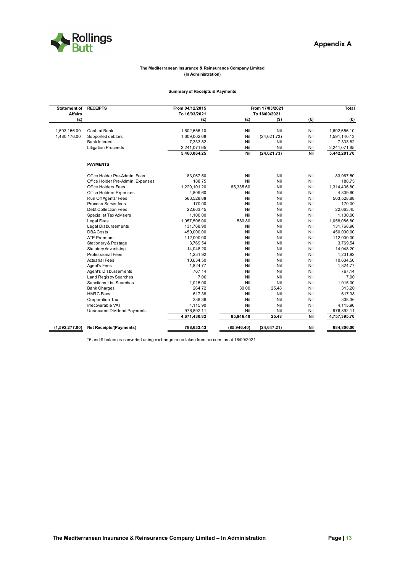

#### **The Mediterranean Insurance & Reinsurance Company Limited (In Administration)**

#### **Summary of Receipts & Payments**

| <b>Affairs</b><br>To 16/03/2021<br>To 16/09/2021<br>(E)<br>(E)<br>(E)<br>$(\epsilon)$<br>$($ \$)<br>Cash at Bank<br>Nil<br>Nil<br>Nil<br>1,602,656.10<br>1,503,156.00<br>1,602,656.10<br>Nil<br>(24, 621.73)<br>Nil<br>1,480,176.00<br>Supported debtors<br>1,609,002.68<br>1,591,140.13<br><b>Bank Interest</b><br>Nil<br>Nil<br>7,333.82<br>Nil<br>7,333.82<br><b>Litigation Proceeds</b><br>Nil<br>Nil<br>Nil<br>2,241,071.65<br>2,241,071.65<br>(24, 621.73)<br>Nil<br>Nil<br>5,442,201.70<br>5,460,064.25<br><b>PAYMENTS</b><br>Nil<br>Nil<br>Office Holder Pre-Admin, Fees<br>83,067.50<br>Nil<br>Nil<br>Nil<br>Nil<br>188.75<br>Office Holder Pre-Admin. Expenses<br>85,335.60<br>Nil<br>Office Holders Fees<br>1,229,101.20<br>Nil<br>Nil<br><b>Office Holders Expenses</b><br>4,809.60<br>Nil<br>Nil<br>Run Off Agents' Fees<br>563,528.88<br>Nil<br>Nil<br>Nil<br>Process Server fees<br>Nil<br>170.00<br>Nil<br>Nil<br>Nil<br><b>Debt Collection Fees</b><br>22,663.45<br>Nil<br>Nil<br>1,100.00<br>Nil<br>Nil<br>Nil<br><b>Specialist Tax Advisers</b><br>Nil<br>1,057,506.00<br>580.80<br>Nil<br><b>Legal Fees</b><br>Nil<br><b>Legal Disbursements</b><br>131,768.90<br>Nil<br>Nil<br><b>DBA Costs</b><br>450,000.00<br>Nil<br>Nil<br>Nil<br>Nil<br><b>ATE Premium</b><br>112,000.00<br>Nil<br>Nil<br>Nil<br>Nil<br>Nil<br>Stationery & Postage<br>3.769.54<br>Nil<br><b>Statutory Advertising</b><br>14,048.20<br>Nil<br>Nil<br><b>Professional Fees</b><br>1,231.92<br>Nil<br>Nil<br>Nil<br>Nil<br><b>Actuarial Fees</b><br>10.634.50<br>Nil<br>Nil<br>Nil<br>Nil<br>Agent's Fees<br>1,824.77<br>Nil<br>767.14<br>Nil<br>Nil<br>Nil<br>Agent's Disbursements<br>7.00<br>Nil<br>Nil<br>Nil<br><b>Land Registry Searches</b><br>1,015.00<br>Nil<br>Nil<br>Nil<br><b>Sanctions List Searches</b><br>30.00<br>Nil<br><b>Bank Charges</b><br>264.72<br>25.48<br><b>HMRC</b> Fees<br>617.38<br>Nil<br>Nil<br>Nil<br>338.36<br>Nil<br>Nil<br><b>Corporation Tax</b><br>Nil<br>Irrecoverable VAT<br>4,115.90<br>Nil<br>Nil<br>Nil<br>976,892.11<br>Nil<br>Nil<br><b>Unsecured Dividend Payments</b><br>Nil<br>85,946.40<br>25.48<br>Nil<br>4,671,430.82 | <b>Statement of RECEIPTS</b> |                                | From 04/12/2015 |             | From 17/03/2021 |     | Total        |
|-----------------------------------------------------------------------------------------------------------------------------------------------------------------------------------------------------------------------------------------------------------------------------------------------------------------------------------------------------------------------------------------------------------------------------------------------------------------------------------------------------------------------------------------------------------------------------------------------------------------------------------------------------------------------------------------------------------------------------------------------------------------------------------------------------------------------------------------------------------------------------------------------------------------------------------------------------------------------------------------------------------------------------------------------------------------------------------------------------------------------------------------------------------------------------------------------------------------------------------------------------------------------------------------------------------------------------------------------------------------------------------------------------------------------------------------------------------------------------------------------------------------------------------------------------------------------------------------------------------------------------------------------------------------------------------------------------------------------------------------------------------------------------------------------------------------------------------------------------------------------------------------------------------------------------------------------------------------------------------------------------------------------------------------------------------------------------------------------------------------------------------------------------------------|------------------------------|--------------------------------|-----------------|-------------|-----------------|-----|--------------|
|                                                                                                                                                                                                                                                                                                                                                                                                                                                                                                                                                                                                                                                                                                                                                                                                                                                                                                                                                                                                                                                                                                                                                                                                                                                                                                                                                                                                                                                                                                                                                                                                                                                                                                                                                                                                                                                                                                                                                                                                                                                                                                                                                                 |                              |                                |                 |             |                 |     |              |
|                                                                                                                                                                                                                                                                                                                                                                                                                                                                                                                                                                                                                                                                                                                                                                                                                                                                                                                                                                                                                                                                                                                                                                                                                                                                                                                                                                                                                                                                                                                                                                                                                                                                                                                                                                                                                                                                                                                                                                                                                                                                                                                                                                 |                              |                                |                 |             |                 |     | (E)          |
|                                                                                                                                                                                                                                                                                                                                                                                                                                                                                                                                                                                                                                                                                                                                                                                                                                                                                                                                                                                                                                                                                                                                                                                                                                                                                                                                                                                                                                                                                                                                                                                                                                                                                                                                                                                                                                                                                                                                                                                                                                                                                                                                                                 |                              |                                |                 |             |                 |     |              |
|                                                                                                                                                                                                                                                                                                                                                                                                                                                                                                                                                                                                                                                                                                                                                                                                                                                                                                                                                                                                                                                                                                                                                                                                                                                                                                                                                                                                                                                                                                                                                                                                                                                                                                                                                                                                                                                                                                                                                                                                                                                                                                                                                                 |                              |                                |                 |             |                 |     |              |
|                                                                                                                                                                                                                                                                                                                                                                                                                                                                                                                                                                                                                                                                                                                                                                                                                                                                                                                                                                                                                                                                                                                                                                                                                                                                                                                                                                                                                                                                                                                                                                                                                                                                                                                                                                                                                                                                                                                                                                                                                                                                                                                                                                 |                              |                                |                 |             |                 |     |              |
|                                                                                                                                                                                                                                                                                                                                                                                                                                                                                                                                                                                                                                                                                                                                                                                                                                                                                                                                                                                                                                                                                                                                                                                                                                                                                                                                                                                                                                                                                                                                                                                                                                                                                                                                                                                                                                                                                                                                                                                                                                                                                                                                                                 |                              |                                |                 |             |                 |     |              |
|                                                                                                                                                                                                                                                                                                                                                                                                                                                                                                                                                                                                                                                                                                                                                                                                                                                                                                                                                                                                                                                                                                                                                                                                                                                                                                                                                                                                                                                                                                                                                                                                                                                                                                                                                                                                                                                                                                                                                                                                                                                                                                                                                                 |                              |                                |                 |             |                 |     |              |
|                                                                                                                                                                                                                                                                                                                                                                                                                                                                                                                                                                                                                                                                                                                                                                                                                                                                                                                                                                                                                                                                                                                                                                                                                                                                                                                                                                                                                                                                                                                                                                                                                                                                                                                                                                                                                                                                                                                                                                                                                                                                                                                                                                 |                              |                                |                 |             |                 |     |              |
|                                                                                                                                                                                                                                                                                                                                                                                                                                                                                                                                                                                                                                                                                                                                                                                                                                                                                                                                                                                                                                                                                                                                                                                                                                                                                                                                                                                                                                                                                                                                                                                                                                                                                                                                                                                                                                                                                                                                                                                                                                                                                                                                                                 |                              |                                |                 |             |                 |     |              |
|                                                                                                                                                                                                                                                                                                                                                                                                                                                                                                                                                                                                                                                                                                                                                                                                                                                                                                                                                                                                                                                                                                                                                                                                                                                                                                                                                                                                                                                                                                                                                                                                                                                                                                                                                                                                                                                                                                                                                                                                                                                                                                                                                                 |                              |                                |                 |             |                 |     | 83,067.50    |
|                                                                                                                                                                                                                                                                                                                                                                                                                                                                                                                                                                                                                                                                                                                                                                                                                                                                                                                                                                                                                                                                                                                                                                                                                                                                                                                                                                                                                                                                                                                                                                                                                                                                                                                                                                                                                                                                                                                                                                                                                                                                                                                                                                 |                              |                                |                 |             |                 |     | 188.75       |
|                                                                                                                                                                                                                                                                                                                                                                                                                                                                                                                                                                                                                                                                                                                                                                                                                                                                                                                                                                                                                                                                                                                                                                                                                                                                                                                                                                                                                                                                                                                                                                                                                                                                                                                                                                                                                                                                                                                                                                                                                                                                                                                                                                 |                              |                                |                 |             |                 |     | 1,314,436.80 |
|                                                                                                                                                                                                                                                                                                                                                                                                                                                                                                                                                                                                                                                                                                                                                                                                                                                                                                                                                                                                                                                                                                                                                                                                                                                                                                                                                                                                                                                                                                                                                                                                                                                                                                                                                                                                                                                                                                                                                                                                                                                                                                                                                                 |                              |                                |                 |             |                 |     | 4,809.60     |
|                                                                                                                                                                                                                                                                                                                                                                                                                                                                                                                                                                                                                                                                                                                                                                                                                                                                                                                                                                                                                                                                                                                                                                                                                                                                                                                                                                                                                                                                                                                                                                                                                                                                                                                                                                                                                                                                                                                                                                                                                                                                                                                                                                 |                              |                                |                 |             |                 |     | 563,528.88   |
|                                                                                                                                                                                                                                                                                                                                                                                                                                                                                                                                                                                                                                                                                                                                                                                                                                                                                                                                                                                                                                                                                                                                                                                                                                                                                                                                                                                                                                                                                                                                                                                                                                                                                                                                                                                                                                                                                                                                                                                                                                                                                                                                                                 |                              |                                |                 |             |                 |     | 170.00       |
|                                                                                                                                                                                                                                                                                                                                                                                                                                                                                                                                                                                                                                                                                                                                                                                                                                                                                                                                                                                                                                                                                                                                                                                                                                                                                                                                                                                                                                                                                                                                                                                                                                                                                                                                                                                                                                                                                                                                                                                                                                                                                                                                                                 |                              |                                |                 |             |                 |     | 22,663.45    |
|                                                                                                                                                                                                                                                                                                                                                                                                                                                                                                                                                                                                                                                                                                                                                                                                                                                                                                                                                                                                                                                                                                                                                                                                                                                                                                                                                                                                                                                                                                                                                                                                                                                                                                                                                                                                                                                                                                                                                                                                                                                                                                                                                                 |                              |                                |                 |             |                 |     | 1,100.00     |
|                                                                                                                                                                                                                                                                                                                                                                                                                                                                                                                                                                                                                                                                                                                                                                                                                                                                                                                                                                                                                                                                                                                                                                                                                                                                                                                                                                                                                                                                                                                                                                                                                                                                                                                                                                                                                                                                                                                                                                                                                                                                                                                                                                 |                              |                                |                 |             |                 |     | 1,058,086.80 |
|                                                                                                                                                                                                                                                                                                                                                                                                                                                                                                                                                                                                                                                                                                                                                                                                                                                                                                                                                                                                                                                                                                                                                                                                                                                                                                                                                                                                                                                                                                                                                                                                                                                                                                                                                                                                                                                                                                                                                                                                                                                                                                                                                                 |                              |                                |                 |             |                 |     | 131,768.90   |
|                                                                                                                                                                                                                                                                                                                                                                                                                                                                                                                                                                                                                                                                                                                                                                                                                                                                                                                                                                                                                                                                                                                                                                                                                                                                                                                                                                                                                                                                                                                                                                                                                                                                                                                                                                                                                                                                                                                                                                                                                                                                                                                                                                 |                              |                                |                 |             |                 |     | 450,000.00   |
|                                                                                                                                                                                                                                                                                                                                                                                                                                                                                                                                                                                                                                                                                                                                                                                                                                                                                                                                                                                                                                                                                                                                                                                                                                                                                                                                                                                                                                                                                                                                                                                                                                                                                                                                                                                                                                                                                                                                                                                                                                                                                                                                                                 |                              |                                |                 |             |                 |     | 112,000.00   |
|                                                                                                                                                                                                                                                                                                                                                                                                                                                                                                                                                                                                                                                                                                                                                                                                                                                                                                                                                                                                                                                                                                                                                                                                                                                                                                                                                                                                                                                                                                                                                                                                                                                                                                                                                                                                                                                                                                                                                                                                                                                                                                                                                                 |                              |                                |                 |             |                 |     | 3,769.54     |
|                                                                                                                                                                                                                                                                                                                                                                                                                                                                                                                                                                                                                                                                                                                                                                                                                                                                                                                                                                                                                                                                                                                                                                                                                                                                                                                                                                                                                                                                                                                                                                                                                                                                                                                                                                                                                                                                                                                                                                                                                                                                                                                                                                 |                              |                                |                 |             |                 |     | 14,048.20    |
|                                                                                                                                                                                                                                                                                                                                                                                                                                                                                                                                                                                                                                                                                                                                                                                                                                                                                                                                                                                                                                                                                                                                                                                                                                                                                                                                                                                                                                                                                                                                                                                                                                                                                                                                                                                                                                                                                                                                                                                                                                                                                                                                                                 |                              |                                |                 |             |                 |     | 1,231.92     |
|                                                                                                                                                                                                                                                                                                                                                                                                                                                                                                                                                                                                                                                                                                                                                                                                                                                                                                                                                                                                                                                                                                                                                                                                                                                                                                                                                                                                                                                                                                                                                                                                                                                                                                                                                                                                                                                                                                                                                                                                                                                                                                                                                                 |                              |                                |                 |             |                 |     | 10,634.50    |
|                                                                                                                                                                                                                                                                                                                                                                                                                                                                                                                                                                                                                                                                                                                                                                                                                                                                                                                                                                                                                                                                                                                                                                                                                                                                                                                                                                                                                                                                                                                                                                                                                                                                                                                                                                                                                                                                                                                                                                                                                                                                                                                                                                 |                              |                                |                 |             |                 |     | 1,824.77     |
|                                                                                                                                                                                                                                                                                                                                                                                                                                                                                                                                                                                                                                                                                                                                                                                                                                                                                                                                                                                                                                                                                                                                                                                                                                                                                                                                                                                                                                                                                                                                                                                                                                                                                                                                                                                                                                                                                                                                                                                                                                                                                                                                                                 |                              |                                |                 |             |                 |     | 767.14       |
|                                                                                                                                                                                                                                                                                                                                                                                                                                                                                                                                                                                                                                                                                                                                                                                                                                                                                                                                                                                                                                                                                                                                                                                                                                                                                                                                                                                                                                                                                                                                                                                                                                                                                                                                                                                                                                                                                                                                                                                                                                                                                                                                                                 |                              |                                |                 |             |                 |     | 7.00         |
|                                                                                                                                                                                                                                                                                                                                                                                                                                                                                                                                                                                                                                                                                                                                                                                                                                                                                                                                                                                                                                                                                                                                                                                                                                                                                                                                                                                                                                                                                                                                                                                                                                                                                                                                                                                                                                                                                                                                                                                                                                                                                                                                                                 |                              |                                |                 |             |                 |     | 1,015.00     |
|                                                                                                                                                                                                                                                                                                                                                                                                                                                                                                                                                                                                                                                                                                                                                                                                                                                                                                                                                                                                                                                                                                                                                                                                                                                                                                                                                                                                                                                                                                                                                                                                                                                                                                                                                                                                                                                                                                                                                                                                                                                                                                                                                                 |                              |                                |                 |             |                 |     | 313.20       |
|                                                                                                                                                                                                                                                                                                                                                                                                                                                                                                                                                                                                                                                                                                                                                                                                                                                                                                                                                                                                                                                                                                                                                                                                                                                                                                                                                                                                                                                                                                                                                                                                                                                                                                                                                                                                                                                                                                                                                                                                                                                                                                                                                                 |                              |                                |                 |             |                 |     | 617.38       |
|                                                                                                                                                                                                                                                                                                                                                                                                                                                                                                                                                                                                                                                                                                                                                                                                                                                                                                                                                                                                                                                                                                                                                                                                                                                                                                                                                                                                                                                                                                                                                                                                                                                                                                                                                                                                                                                                                                                                                                                                                                                                                                                                                                 |                              |                                |                 |             |                 |     | 338.36       |
|                                                                                                                                                                                                                                                                                                                                                                                                                                                                                                                                                                                                                                                                                                                                                                                                                                                                                                                                                                                                                                                                                                                                                                                                                                                                                                                                                                                                                                                                                                                                                                                                                                                                                                                                                                                                                                                                                                                                                                                                                                                                                                                                                                 |                              |                                |                 |             |                 |     | 4,115.90     |
|                                                                                                                                                                                                                                                                                                                                                                                                                                                                                                                                                                                                                                                                                                                                                                                                                                                                                                                                                                                                                                                                                                                                                                                                                                                                                                                                                                                                                                                                                                                                                                                                                                                                                                                                                                                                                                                                                                                                                                                                                                                                                                                                                                 |                              |                                |                 |             |                 |     | 976,892.11   |
|                                                                                                                                                                                                                                                                                                                                                                                                                                                                                                                                                                                                                                                                                                                                                                                                                                                                                                                                                                                                                                                                                                                                                                                                                                                                                                                                                                                                                                                                                                                                                                                                                                                                                                                                                                                                                                                                                                                                                                                                                                                                                                                                                                 |                              |                                |                 |             |                 |     | 4,757,395.70 |
|                                                                                                                                                                                                                                                                                                                                                                                                                                                                                                                                                                                                                                                                                                                                                                                                                                                                                                                                                                                                                                                                                                                                                                                                                                                                                                                                                                                                                                                                                                                                                                                                                                                                                                                                                                                                                                                                                                                                                                                                                                                                                                                                                                 | (1,592,277.00)               | <b>Net Receipts/(Payments)</b> | 788,633.43      | (85,946.40) | (24, 647.21)    | Nil | 684,806.00   |

\*€ and \$ balances converted using exchange rates taken from xe.com as at 16/09/2021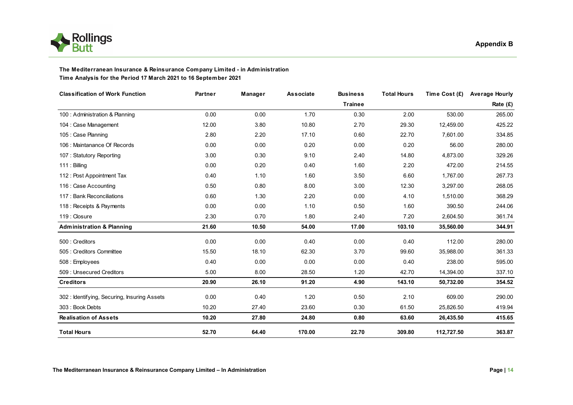



#### **The Mediterranean Insurance & Reinsurance Company Limited - in Administration Time Analysis for the Period 17 March 2021 to 16 September 2021**

| <b>Classification of Work Function</b>      | Partner | Manager | Associate | <b>Business</b> | <b>Total Hours</b> | Time Cost (£) | <b>Average Hourly</b> |
|---------------------------------------------|---------|---------|-----------|-----------------|--------------------|---------------|-----------------------|
|                                             |         |         |           | <b>Trainee</b>  |                    |               | Rate (£)              |
| 100 : Administration & Planning             | 0.00    | 0.00    | 1.70      | 0.30            | 2.00               | 530.00        | 265.00                |
| 104 : Case Management                       | 12.00   | 3.80    | 10.80     | 2.70            | 29.30              | 12,459.00     | 425.22                |
| 105 : Case Planning                         | 2.80    | 2.20    | 17.10     | 0.60            | 22.70              | 7,601.00      | 334.85                |
| 106 : Maintanance Of Records                | 0.00    | 0.00    | 0.20      | 0.00            | 0.20               | 56.00         | 280.00                |
| 107: Statutory Reporting                    | 3.00    | 0.30    | 9.10      | 2.40            | 14.80              | 4,873.00      | 329.26                |
| 111 : Billing                               | 0.00    | 0.20    | 0.40      | 1.60            | 2.20               | 472.00        | 214.55                |
| 112 : Post Appointment Tax                  | 0.40    | 1.10    | 1.60      | 3.50            | 6.60               | 1,767.00      | 267.73                |
| 116 : Case Accounting                       | 0.50    | 0.80    | 8.00      | 3.00            | 12.30              | 3.297.00      | 268.05                |
| 117 : Bank Reconciliations                  | 0.60    | 1.30    | 2.20      | 0.00            | 4.10               | 1,510.00      | 368.29                |
| 118 : Receipts & Payments                   | 0.00    | 0.00    | 1.10      | 0.50            | 1.60               | 390.50        | 244.06                |
| 119 : Closure                               | 2.30    | 0.70    | 1.80      | 2.40            | 7.20               | 2,604.50      | 361.74                |
| <b>Administration &amp; Planning</b>        | 21.60   | 10.50   | 54.00     | 17.00           | 103.10             | 35,560.00     | 344.91                |
| 500 : Creditors                             | 0.00    | 0.00    | 0.40      | 0.00            | 0.40               | 112.00        | 280.00                |
| 505 : Creditors Committee                   | 15.50   | 18.10   | 62.30     | 3.70            | 99.60              | 35,988.00     | 361.33                |
| 508 : Employees                             | 0.40    | 0.00    | 0.00      | 0.00            | 0.40               | 238.00        | 595.00                |
| 509 : Unsecured Creditors                   | 5.00    | 8.00    | 28.50     | 1.20            | 42.70              | 14,394.00     | 337.10                |
| <b>Creditors</b>                            | 20.90   | 26.10   | 91.20     | 4.90            | 143.10             | 50,732.00     | 354.52                |
| 302: Identifying, Securing, Insuring Assets | 0.00    | 0.40    | 1.20      | 0.50            | 2.10               | 609.00        | 290.00                |
| 303 : Book Debts                            | 10.20   | 27.40   | 23.60     | 0.30            | 61.50              | 25,826.50     | 419.94                |
| <b>Realisation of Assets</b>                | 10.20   | 27.80   | 24.80     | 0.80            | 63.60              | 26.435.50     | 415.65                |
| <b>Total Hours</b>                          | 52.70   | 64.40   | 170.00    | 22.70           | 309.80             | 112,727.50    | 363.87                |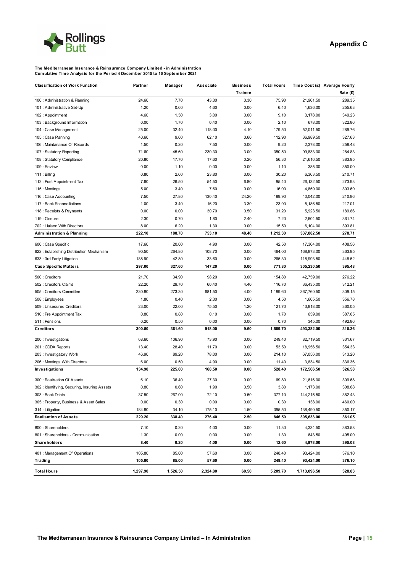

#### **The Mediterranean Insurance & Reinsurance Company Limited - in Administration Cumulative Time Analysis for the Period 4 December 2015 to 16 September 2021**

| <b>Classification of Work Function</b>             | Partner          | Manager         | Associate      | <b>Business</b>        | <b>Total Hours</b> |                        | Time Cost (£) Average Hourly |
|----------------------------------------------------|------------------|-----------------|----------------|------------------------|--------------------|------------------------|------------------------------|
| 100 : Administration & Planning                    | 24.60            | 7.70            | 43.30          | <b>Trainee</b><br>0.30 | 75.90              | 21,961.50              | Rate (£)<br>289.35           |
| 101 : Administrative Set-Up                        | 1.20             | 0.60            | 4.60           | 0.00                   | 6.40               | 1,636.00               | 255.63                       |
| 102: Appointment                                   | 4.60             | 1.50            | 3.00           | 0.00                   | 9.10               | 3,178.00               | 349.23                       |
| 103 : Background Information                       | 0.00             | 1.70            | 0.40           | 0.00                   | 2.10               | 678.00                 | 322.86                       |
| 104 : Case Management                              | 25.00            | 32.40           | 118.00         | 4.10                   | 179.50             | 52,011.50              | 289.76                       |
| 105 : Case Planning                                | 40.60            | 9.60            | 62.10          | 0.60                   | 112.90             | 36,989.50              | 327.63                       |
| 106 : Maintanance Of Records                       | 1.50             | 0.20            | 7.50           | 0.00                   | 9.20               | 2,378.00               | 258.48                       |
| 107: Statutory Reporting                           | 71.60            | 45.60           | 230.30         | 3.00                   | 350.50             | 99,833.00              | 284.83                       |
| 108 : Statutory Compliance                         | 20.80            | 17.70           | 17.60          | 0.20                   | 56.30              | 21,616.50              | 383.95                       |
| 109 : Review                                       | 0.00             | 1.10            | 0.00           | 0.00                   | 1.10               | 385.00                 | 350.00                       |
| 111 : Billing                                      | 0.80             | 2.60            | 23.80          | 3.00                   | 30.20              | 6,363.50               | 210.71                       |
| 112 : Post Appointment Tax                         | 7.60             | 26.50           | 54.50          | 6.80                   | 95.40              | 26,132.50              | 273.93                       |
| 115 : Meetings                                     | 5.00             | 3.40            | 7.60           | 0.00                   | 16.00              | 4,859.00               | 303.69                       |
| 116 : Case Accounting                              | 7.50             | 27.80           | 130.40         | 24.20                  | 189.90             | 40,042.00              | 210.86                       |
| 117 : Bank Reconciliations                         | 1.00             | 3.40            | 16.20          | 3.30                   | 23.90              | 5,186.50               | 217.01                       |
| 118 : Receipts & Payments                          | 0.00             | 0.00            | 30.70          | 0.50                   | 31.20              | 5,923.50               | 189.86                       |
| 119 : Closure                                      | 2.30             | 0.70            | 1.80           | 2.40                   | 7.20               | 2,604.50               | 361.74                       |
| 702 : Liaison With Directors                       | 8.00             | 6.20            | 1.30           | 0.00                   | 15.50              | 6,104.00               | 393.81                       |
| <b>Administration &amp; Planning</b>               | 222.10           | 188.70          | 753.10         | 48.40                  | 1,212.30           | 337,882.50             | 278.71                       |
|                                                    |                  |                 |                |                        |                    |                        |                              |
| 600 : Case Specific                                | 17.60            | 20.00           | 4.90           | 0.00                   | 42.50              | 17,364.00              | 408.56                       |
| 622 : Establishing Distribution Mechanism          | 90.50            | 264.80          | 108.70         | 0.00                   | 464.00             | 168,873.00             | 363.95                       |
| 633 : 3rd Party Litigation                         | 188.90           | 42.80<br>327.60 | 33.60          | 0.00                   | 265.30             | 118,993.50             | 448.52                       |
| <b>Case Specific Matters</b>                       | 297.00           |                 | 147.20         | 0.00                   | 771.80             | 305,230.50             | 395.48                       |
| 500 : Creditors                                    | 21.70            | 34.90           | 98.20          | 0.00                   | 154.80             | 42,759.00              | 276.22                       |
| 502 : Creditors Claims                             | 22.20            | 29.70           | 60.40          | 4.40                   | 116.70             | 36,435.00              | 312.21                       |
| 505 : Creditors Committee                          | 230.80           | 273.30          | 681.50         | 4.00                   | 1,189.60           | 367,760.50             | 309.15                       |
| 508 : Employees                                    | 1.80             | 0.40            | 2.30           | 0.00                   | 4.50               | 1,605.50               | 356.78                       |
| 509 : Unsecured Creditors                          | 23.00            | 22.00           | 75.50          | 1.20                   | 121.70             | 43,818.00              | 360.05                       |
| 510 : Pre Appointment Tax                          | 0.80             | 0.80            | 0.10           | 0.00                   | 1.70               | 659.00                 | 387.65                       |
| 511 : Pensions                                     | 0.20             | 0.50            | 0.00           | 0.00                   | 0.70               | 345.00                 | 492.86                       |
| <b>Creditors</b>                                   | 300.50           | 361.60          | 918.00         | 9.60                   | 1,589.70           | 493,382.00             | 310.36                       |
| 200 : Investigations                               | 68.60            | 106.90          | 73.90          | 0.00                   | 249.40             | 82,719.50              | 331.67                       |
| 201 : CDDA Reports                                 | 13.40            | 28.40           | 11.70          | 0.00                   | 53.50              | 18,956.50              | 354.33                       |
| 203 : Investigatory Work                           | 46.90            | 89.20           | 78.00          | 0.00                   | 214.10             | 67,056.00              | 313.20                       |
| 206 : Meetings With Directors                      | 6.00             | 0.50            | 4.90           | 0.00                   | 11.40              | 3,834.50               | 336.36                       |
| Investigations                                     | 134.90           | 225.00          | 168.50         | 0.00                   | 528.40             | 172,566.50             | 326.58                       |
| 300 : Realisation Of Assets                        | 6.10             | 36.40           | 27.30          | 0.00                   | 69.80              | 21,616.00              | 309.68                       |
| 302: Identifying, Securing, Insuring Assets        | 0.80             | 0.60            | 1.90           | 0.50                   | 3.80               | 1,173.00               | 308.68                       |
| 303: Book Debts                                    | 37.50            | 267.00          | 72.10          | 0.50                   | 377.10             | 144,215.50             | 382.43                       |
| 305: Property, Business & Asset Sales              | 0.00             | 0.30            | 0.00           | 0.00                   | 0.30               | 138.00                 | 460.00                       |
| 314 : Litigation                                   | 184.80           | 34.10           | 175.10         | 1.50                   | 395.50             | 138,490.50             | 350.17                       |
| <b>Realisation of Assets</b>                       | 229.20           | 338.40          | 276.40         | 2.50                   | 846.50             | 305,633.00             | 361.05                       |
|                                                    |                  |                 |                |                        |                    |                        |                              |
| 800 : Shareholders                                 | 7.10             | 0.20            | 4.00           | 0.00                   | 11.30              | 4,334.50               | 383.58                       |
| 801 : Shareholders - Communication<br>Shareholders | 1.30<br>8.40     | 0.00<br>0.20    | 0.00<br>4.00   | 0.00<br>0.00           | 1.30<br>12.60      | 643.50<br>4,978.00     | 495.00<br>395.08             |
|                                                    |                  |                 |                |                        |                    |                        |                              |
| 401 : Management Of Operations<br>Trading          | 105.80<br>105.80 | 85.00<br>85.00  | 57.60<br>57.60 | 0.00<br>0.00           | 248.40<br>248.40   | 93,424.00<br>93,424.00 | 376.10<br>376.10             |
|                                                    |                  |                 |                |                        |                    |                        |                              |
| <b>Total Hours</b>                                 | 1,297.90         | 1,526.50        | 2,324.80       | 60.50                  | 5,209.70           | 1,713,096.50           | 328.83                       |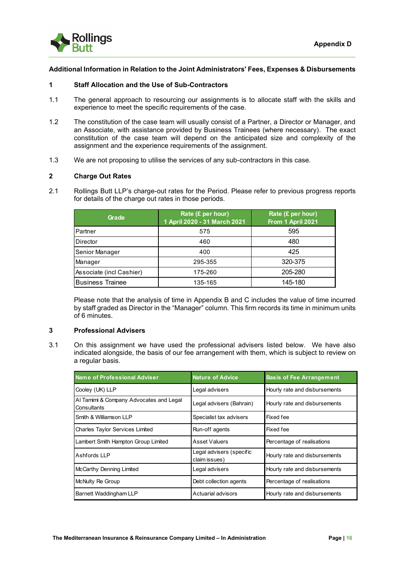

# **Additional Information in Relation to the Joint Administrators' Fees, Expenses & Disbursements**

# **1 Staff Allocation and the Use of Sub-Contractors**

- 1.1 The general approach to resourcing our assignments is to allocate staff with the skills and experience to meet the specific requirements of the case.
- 1.2 The constitution of the case team will usually consist of a Partner, a Director or Manager, and an Associate, with assistance provided by Business Trainees (where necessary). The exact constitution of the case team will depend on the anticipated size and complexity of the assignment and the experience requirements of the assignment.
- 1.3 We are not proposing to utilise the services of any sub-contractors in this case.

# **2 Charge Out Rates**

2.1 Rollings Butt LLP's charge-out rates for the Period. Please refer to previous progress reports for details of the charge out rates in those periods.

| Grade                    | Rate (£ per hour)<br>1 April 2020 - 31 March 2021 | Rate (£ per hour)<br>From 1 April 2021 |
|--------------------------|---------------------------------------------------|----------------------------------------|
| Partner                  | 575                                               | 595                                    |
| Director                 | 460                                               | 480                                    |
| Senior Manager           | 400                                               | 425                                    |
| Manager                  | 295-355                                           | 320-375                                |
| Associate (incl Cashier) | 175-260                                           | 205-280                                |
| <b>Business Trainee</b>  | 135-165                                           | 145-180                                |

Please note that the analysis of time in Appendix B and C includes the value of time incurred by staff graded as Director in the "Manager" column. This firm records its time in minimum units of 6 minutes.

# **3 Professional Advisers**

3.1 On this assignment we have used the professional advisers listed below. We have also indicated alongside, the basis of our fee arrangement with them, which is subject to review on a regular basis.

| <b>Name of Professional Adviser</b>                    | <b>Nature of Advice</b>                   | <b>Basis of Fee Arrangement</b> |
|--------------------------------------------------------|-------------------------------------------|---------------------------------|
| Cooley (UK) LLP                                        | Legal advisers                            | Hourly rate and disbursements   |
| Al Tamimi & Company Advocates and Legal<br>Consultants | Legal advisers (Bahrain)                  | Hourly rate and disbursements   |
| <b>I</b> Smith & Williamson LLP                        | Specialist tax advisers                   | Fixed fee                       |
| Charles Taylor Services Limited                        | Run-off agents                            | Fixed fee                       |
| Lambert Smith Hampton Group Limited                    | Asset Valuers                             | Percentage of realisations      |
| Ashfords LLP                                           | Legal advisers (specific<br>claim issues) | Hourly rate and disbursements   |
| McCarthy Denning Limited                               | Legal advisers                            | Hourly rate and disbursements   |
| <b>McNulty Re Group</b>                                | Debt collection agents                    | Percentage of realisations      |
| Barnett Waddingham LLP                                 | Actuarial advisors                        | Hourly rate and disbursements   |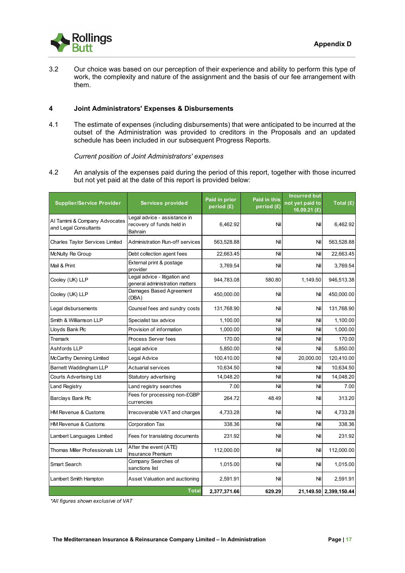

3.2 Our choice was based on our perception of their experience and ability to perform this type of work, the complexity and nature of the assignment and the basis of our fee arrangement with them.

# **4 Joint Administrators' Expenses & Disbursements**

4.1 The estimate of expenses (including disbursements) that were anticipated to be incurred at the outset of the Administration was provided to creditors in the Proposals and an updated schedule has been included in our subsequent Progress Reports.

*Current position of Joint Administrators' expenses*

4.2 An analysis of the expenses paid during the period of this report, together with those incurred but not yet paid at the date of this report is provided below:

| <b>Supplier/Service Provider</b>                       | <b>Services provided</b>                                             | Paid in prior<br>period (£) | <b>Paid in this</b><br>period (£) | <b>Incurred but</b><br>not yet paid to<br>16.09.21 (£) | Total (£)              |
|--------------------------------------------------------|----------------------------------------------------------------------|-----------------------------|-----------------------------------|--------------------------------------------------------|------------------------|
| Al Tamimi & Company Advocates<br>and Legal Consultants | Legal advice - assistance in<br>recovery of funds held in<br>Bahrain | 6,462.92                    | Nil                               | Nil                                                    | 6,462.92               |
| Charles Taylor Services Limited                        | <b>Administration Run-off services</b>                               | 563,528.88                  | Nil                               | Nil                                                    | 563,528.88             |
| McNulty Re Group                                       | Debt collection agent fees                                           | 22,663.45                   | Nil                               | Nil                                                    | 22,663.45              |
| Mail & Print                                           | External print & postage<br>provider                                 | 3,769.54                    | Nil                               | Nil                                                    | 3,769.54               |
| Cooley (UK) LLP                                        | Legal advice - litigation and<br>general administration matters      | 944,783.08                  | 580.80                            | 1,149.50                                               | 946,513.38             |
| Cooley (UK) LLP                                        | Damages Based Agreement<br>(DBA)                                     | 450,000.00                  | Nil                               | Nil                                                    | 450,000.00             |
| Legal disbursements                                    | Counsel fees and sundry costs                                        | 131,768.90                  | Nil                               | Nil                                                    | 131,768.90             |
| Smith & Williamson LLP                                 | Specialist tax advice                                                | 1,100.00                    | Nil                               | Nil                                                    | 1,100.00               |
| Lloyds Bank Plc                                        | Provision of information                                             | 1,000.00                    | Nil                               | Nil                                                    | 1,000.00               |
| Tremark                                                | Process Server fees                                                  | 170.00                      | Nil                               | Nil                                                    | 170.00                 |
| Ashfords LLP                                           | Legal advice                                                         | 5,850.00                    | Nil                               | Nil                                                    | 5,850.00               |
| McCarthy Denning Limited                               | Legal Advice                                                         | 100,410.00                  | Nil                               | 20,000.00                                              | 120,410.00             |
| Barnett Waddingham LLP                                 | Actuarial services                                                   | 10,634.50                   | Nil                               | Nil                                                    | 10,634.50              |
| <b>Courts Advertising Ltd</b>                          | Statutory advertising                                                | 14,048.20                   | Nil                               | Nil                                                    | 14,048.20              |
| Land Registry                                          | Land registry searches                                               | 7.00                        | Nil                               | Nil                                                    | 7.00                   |
| Barclays Bank Plc                                      | Fees for processing non-£GBP<br>currencies                           | 264.72                      | 48.49                             | Nil                                                    | 313.20                 |
| <b>HM Revenue &amp; Customs</b>                        | Irrecoverable VAT and charges                                        | 4,733.28                    | Nil                               | Nil                                                    | 4,733.28               |
| <b>HM Revenue &amp; Customs</b>                        | Corporation Tax                                                      | 338.36                      | Nil                               | Nil                                                    | 338.36                 |
| Lambert Languages Limited                              | Fees for translating documents                                       | 231.92                      | Nil                               | Nil                                                    | 231.92                 |
| Thomas Miller Professionals Ltd                        | After the event (ATE)<br>Insurance Premium                           | 112,000.00                  | Nil                               | Nil                                                    | 112,000.00             |
| Smart Search                                           | Company Searches of<br>sanctions list                                | 1,015.00                    | Nil                               | Nil                                                    | 1,015.00               |
| Lambert Smith Hampton                                  | Asset Valuation and auctioning                                       | 2,591.91                    | Nil                               | Nil                                                    | 2,591.91               |
|                                                        | <b>Total</b>                                                         | 2.377.371.66                | 629.29                            |                                                        | 21,149.50 2,399,150.44 |

*\*All figures shown exclusive of VAT*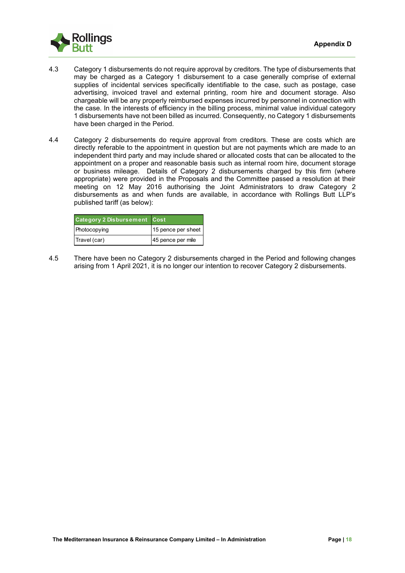

- 4.3 Category 1 disbursements do not require approval by creditors. The type of disbursements that may be charged as a Category 1 disbursement to a case generally comprise of external supplies of incidental services specifically identifiable to the case, such as postage, case advertising, invoiced travel and external printing, room hire and document storage. Also chargeable will be any properly reimbursed expenses incurred by personnel in connection with the case. In the interests of efficiency in the billing process, minimal value individual category 1 disbursements have not been billed as incurred. Consequently, no Category 1 disbursements have been charged in the Period.
- 4.4 Category 2 disbursements do require approval from creditors. These are costs which are directly referable to the appointment in question but are not payments which are made to an independent third party and may include shared or allocated costs that can be allocated to the appointment on a proper and reasonable basis such as internal room hire, document storage or business mileage. Details of Category 2 disbursements charged by this firm (where appropriate) were provided in the Proposals and the Committee passed a resolution at their meeting on 12 May 2016 authorising the Joint Administrators to draw Category 2 disbursements as and when funds are available, in accordance with Rollings Butt LLP's published tariff (as below):

| <b>Category 2 Disbursement Cost</b> |                    |
|-------------------------------------|--------------------|
| Photocopying                        | 15 pence per sheet |
| Travel (car)                        | 45 pence per mile  |

4.5 There have been no Category 2 disbursements charged in the Period and following changes arising from 1 April 2021, it is no longer our intention to recover Category 2 disbursements.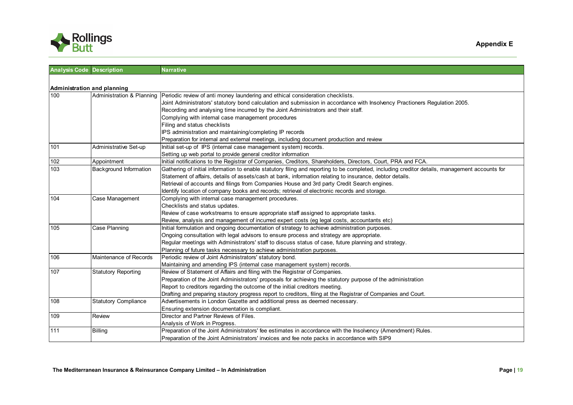

| <b>Analysis Code Description</b> |                             | <b>Narrative</b>                                                                                                                               |
|----------------------------------|-----------------------------|------------------------------------------------------------------------------------------------------------------------------------------------|
|                                  |                             |                                                                                                                                                |
| Administration and planning      |                             |                                                                                                                                                |
| 100                              | Administration & Planning   | Periodic review of anti money laundering and ethical consideration checklists.                                                                 |
|                                  |                             | Joint Administrators' statutory bond calculation and submission in accordance with Insolvency Practioners Regulation 2005.                     |
|                                  |                             | Recording and analysing time incurred by the Joint Administrators and their staff.                                                             |
|                                  |                             | Complying with internal case management procedures                                                                                             |
|                                  |                             | Filing and status checklists                                                                                                                   |
|                                  |                             | IPS administration and maintaining/completing IP records                                                                                       |
|                                  |                             | Preparation for internal and external meetings, including document production and review                                                       |
| 101                              | Administrative Set-up       | Initial set-up of IPS (internal case management system) records.                                                                               |
|                                  |                             | Setting up web portal to provide general creditor information                                                                                  |
| 102                              | Appointment                 | Initial notifications to the Registrar of Companies, Creditors, Shareholders, Directors, Court, PRA and FCA.                                   |
| 103                              | Background Information      | Gathering of initial information to enable statutory filing and reporting to be completed, including creditor details, management accounts for |
|                                  |                             | Statement of affairs, details of assets/cash at bank, information relating to insurance, debtor details.                                       |
|                                  |                             | Retrieval of accounts and filings from Companies House and 3rd party Credit Search engines.                                                    |
|                                  |                             | Identify location of company books and records; retrieval of electronic records and storage.                                                   |
| 104                              | Case Management             | Complying with internal case management procedures.                                                                                            |
|                                  |                             | Checklists and status updates.                                                                                                                 |
|                                  |                             | Review of case workstreams to ensure appropriate staff assigned to appropriate tasks.                                                          |
|                                  |                             | Review, analysis and management of incurred expert costs (eq legal costs, accountants etc)                                                     |
| 105                              | Case Planning               | Initial formulation and ongoing documentation of strategy to achieve administration purposes.                                                  |
|                                  |                             | Ongoing consultation with legal advisors to ensure process and strategy are appropriate.                                                       |
|                                  |                             | Reqular meetings with Administrators' staff to discuss status of case, future planning and strategy.                                           |
|                                  |                             | Planning of future tasks necessary to achieve administration purposes.                                                                         |
| 106                              | Maintenance of Records      | Periodic review of Joint Administrators' statutory bond.                                                                                       |
|                                  |                             | Maintaining and amending IPS (internal case management system) records.                                                                        |
| 107                              | <b>Statutory Reporting</b>  | Review of Statement of Affairs and filing with the Registrar of Companies.                                                                     |
|                                  |                             | Preparation of the Joint Administrators' proposals for achieving the statutory purpose of the administration                                   |
|                                  |                             | Report to creditors regarding the outcome of the initial creditors meeting.                                                                    |
|                                  |                             | Drafting and preparing stautory progress report to creditors, filing at the Registrar of Companies and Court.                                  |
| 108                              | <b>Statutory Compliance</b> | Advertisements in London Gazette and additional press as deemed necessary.                                                                     |
|                                  |                             | Ensuring extension documentation is compliant.                                                                                                 |
| 109                              | Review                      | Director and Partner Reviews of Files.                                                                                                         |
|                                  |                             | Analysis of Work in Progress.                                                                                                                  |
| 111                              | <b>Billing</b>              | Preparation of the Joint Administrators' fee estimates in accordance with the Insolvency (Amendment) Rules.                                    |
|                                  |                             | Preparation of the Joint Administrators' invoices and fee note packs in accordance with SIP9                                                   |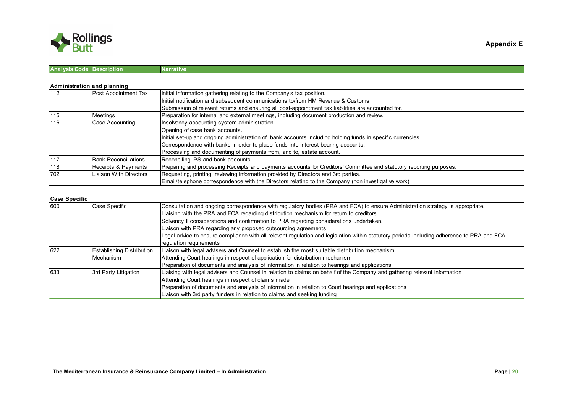

| <b>Analysis Code Description</b> |                                  | <b>Narrative</b>                                                                                                                           |
|----------------------------------|----------------------------------|--------------------------------------------------------------------------------------------------------------------------------------------|
|                                  |                                  |                                                                                                                                            |
| Administration and planning      |                                  |                                                                                                                                            |
| 112                              | Post Appointment Tax             | Initial information gathering relating to the Company's tax position.                                                                      |
|                                  |                                  | Initial notification and subsequent communications to/from HM Revenue & Customs                                                            |
|                                  |                                  | Submission of relevant returns and ensuring all post-appointment tax liabilities are accounted for.                                        |
| 115                              | Meetings                         | Preparation for internal and external meetings, including document production and review.                                                  |
| 116                              | Case Accounting                  | Insolvency accounting system administration.                                                                                               |
|                                  |                                  | Opening of case bank accounts.                                                                                                             |
|                                  |                                  | Initial set-up and ongoing administration of bank accounts including holding funds in specific currencies.                                 |
|                                  |                                  | Correspondence with banks in order to place funds into interest bearing accounts.                                                          |
|                                  |                                  | Processing and documenting of payments from, and to, estate account.                                                                       |
| $117$                            | <b>Bank Reconciliations</b>      | Reconciling IPS and bank accounts.                                                                                                         |
| 118                              | Receipts & Payments              | Preparing and processing Receipts and payments accounts for Creditors' Committee and statutory reporting purposes.                         |
| 702                              | Liaison With Directors           | Requesting, printing, reviewing information provided by Directors and 3rd parties.                                                         |
|                                  |                                  | Email/telephone correspondence with the Directors relating to the Company (non investigative work)                                         |
|                                  |                                  |                                                                                                                                            |
| <b>Case Specific</b>             |                                  |                                                                                                                                            |
| 600                              | Case Specific                    | Consultation and ongoing correspondence with regulatory bodies (PRA and FCA) to ensure Administration strategy is appropriate.             |
|                                  |                                  | Liaising with the PRA and FCA regarding distribution mechanism for retum to creditors.                                                     |
|                                  |                                  | Solvency II considerations and confirmation to PRA regarding considerations undertaken.                                                    |
|                                  |                                  | Liaison with PRA regarding any proposed outsourcing agreements.                                                                            |
|                                  |                                  | Legal advice to ensure compliance with all relevant regulation and legislation within statutory periods including adherence to PRA and FCA |
|                                  |                                  | regulation requirements                                                                                                                    |
| 622                              | <b>Establishing Distribution</b> | Liaison with legal advisers and Counsel to establish the most suitable distribution mechanism                                              |
|                                  | Mechanism                        | Attending Court hearings in respect of application for distribution mechanism                                                              |
|                                  |                                  | Preparation of documents and analysis of information in relation to hearings and applications                                              |
| 633                              | 3rd Party Litigation             | Liaising with legal advisers and Counsel in relation to claims on behalf of the Company and gathering relevant information                 |
|                                  |                                  | Attending Court hearings in respect of claims made                                                                                         |
|                                  |                                  | Preparation of documents and analysis of information in relation to Court hearings and applications                                        |
|                                  |                                  | Liaison with 3rd party funders in relation to claims and seeking funding                                                                   |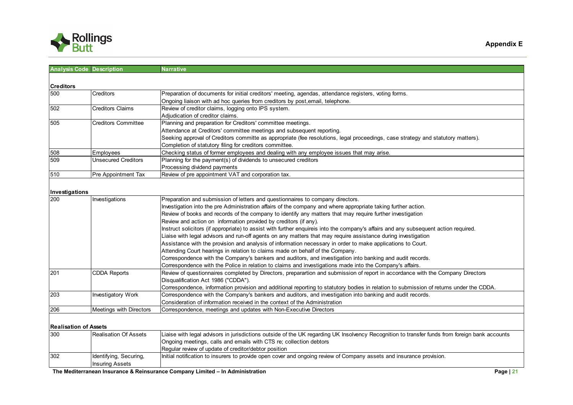

| <b>Analysis Code Description</b> |                            | <b>Narrative</b>                                                                                                                               |
|----------------------------------|----------------------------|------------------------------------------------------------------------------------------------------------------------------------------------|
|                                  |                            |                                                                                                                                                |
| <b>Creditors</b>                 |                            |                                                                                                                                                |
| 500                              | Creditors                  | Preparation of documents for initial creditors' meeting, agendas, attendance registers, voting forms.                                          |
|                                  |                            | Ongoing liaison with ad hoc queries from creditors by post, email, telephone.                                                                  |
| 502                              | <b>Creditors Claims</b>    | Review of creditor claims, logging onto IPS system.                                                                                            |
|                                  |                            | Adjudication of creditor claims.                                                                                                               |
| 505                              | <b>Creditors Committee</b> | Planning and preparation for Creditors' committee meetings.                                                                                    |
|                                  |                            | Attendance at Creditors' committee meetings and subsequent reporting.                                                                          |
|                                  |                            | Seeking approval of Creditors committe as appropriate (fee resolutions, legal proceedings, case strategy and statutory matters).               |
|                                  |                            | Completion of statutory filing for creditors committee.                                                                                        |
| 508                              | Employees                  | Checking status of former employees and dealing with any employee issues that may arise.                                                       |
| 509                              | <b>Unsecured Creditors</b> | Planning for the payment(s) of dividends to unsecured creditors                                                                                |
|                                  |                            | Processing dividend payments                                                                                                                   |
| 510                              | Pre Appointment Tax        | Review of pre appointment VAT and corporation tax.                                                                                             |
|                                  |                            |                                                                                                                                                |
| Investigations                   |                            |                                                                                                                                                |
| 200                              | Investigations             | Preparation and submission of letters and questionnaires to company directors.                                                                 |
|                                  |                            | Investigation into the pre Administration affairs of the company and where appropriate taking further action.                                  |
|                                  |                            | Review of books and records of the company to identify any matters that may require further investigation                                      |
|                                  |                            | Review and action on information provided by creditors (if any).                                                                               |
|                                  |                            | Instruct solicitors (if appropriate) to assist with further enquireis into the company's affairs and any subsequent action required.           |
|                                  |                            | Liaise with legal advisors and run-off agents on any matters that may require assistance during investigation                                  |
|                                  |                            | Assistance with the provision and analysis of information necessary in order to make applications to Court.                                    |
|                                  |                            | Attending Court hearings in relation to claims made on behalf of the Company.                                                                  |
|                                  |                            | Correspondence with the Company's bankers and auditors, and investigation into banking and audit records.                                      |
|                                  |                            | Correspondence with the Police in relation to claims and investigations made into the Company's affairs.                                       |
| 201                              | <b>CDDA Reports</b>        | Review of questionnaires completed by Directors, preparartion and submission of report in accordance with the Company Directors                |
|                                  |                            | Disqualification Act 1986 ("CDDA").                                                                                                            |
|                                  |                            | Correspondence, information provision and additional reporting to statutory bodies in relation to submission of returns under the CDDA.        |
| 203                              | <b>Investigatory Work</b>  | Correspondence with the Company's bankers and auditors, and investigation into banking and audit records.                                      |
|                                  |                            | Consideration of information received in the context of the Administration                                                                     |
| 206                              | Meetings with Directors    | Correspondence, meetings and updates with Non-Executive Directors                                                                              |
|                                  |                            |                                                                                                                                                |
| <b>Realisation of Assets</b>     |                            |                                                                                                                                                |
| 300                              | Realisation Of Assets      | Liaise with legal advisors in jurisdictions outside of the UK regarding UK Insolvency Recognition to transfer funds from foreign bank accounts |
|                                  |                            | Ongoing meetings, calls and emails with CTS re; collection debtors                                                                             |
|                                  |                            | Regular review of update of creditor/debtor position                                                                                           |
| 302                              | Identifying, Securing,     | Initial notification to insurers to provide open cover and ongoing review of Company assets and insurance provision.                           |
|                                  | <b>Insuring Assets</b>     |                                                                                                                                                |